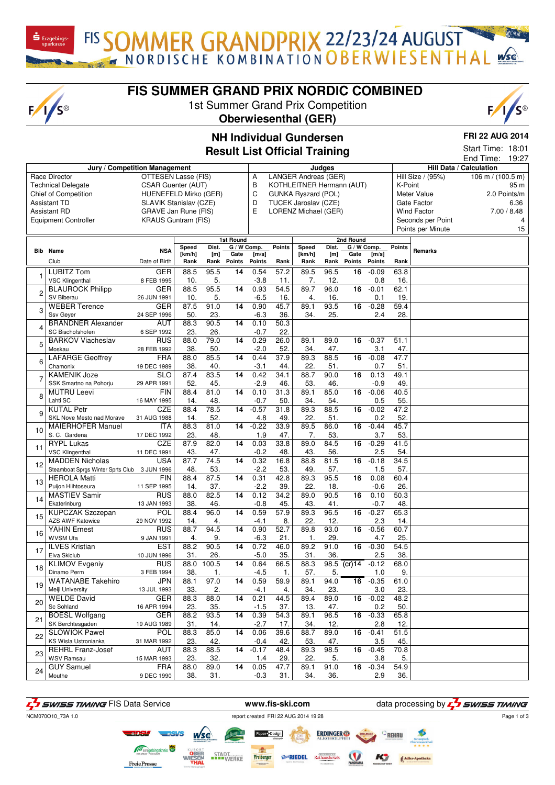FIS SOMMER GRANDPRIX 22/23/24 AUGUST

## **FIS SUMMER GRAND PRIX NORDIC COMBINED**

1st Summer Grand Prix Competition **Oberwiesenthal (GER)**

 $\mathbf{\dot{S}}$  Erzgebirgs

 $F/I/S^{\circledcirc}$ 



#### **NH Individual Gundersen Result List Official Training**

**FRI 22 AUG 2014**

|            |                                              |                            |                 |              |                     |                |               | <b>Result List Official Training</b> |              |                     |                |               |                    | Start Time: 18:01<br>End Time: | 19:27        |
|------------|----------------------------------------------|----------------------------|-----------------|--------------|---------------------|----------------|---------------|--------------------------------------|--------------|---------------------|----------------|---------------|--------------------|--------------------------------|--------------|
|            | Jury / Competition Management                |                            |                 |              |                     |                |               |                                      | Judges       |                     |                |               |                    | Hill Data / Calculation        |              |
|            | Race Director                                | OTTESEN Lasse (FIS)        |                 |              |                     | Α              |               | <b>LANGER Andreas (GER)</b>          |              |                     |                |               | Hill Size / (95%)  | 106 m / $(100.5 m)$            |              |
|            | <b>Technical Delegate</b>                    | <b>CSAR Guenter (AUT)</b>  |                 |              |                     | B              |               | KOTHLEITNER Hermann (AUT)            |              |                     |                | K-Point       |                    |                                | 95 m         |
|            | <b>Chief of Competition</b>                  | HUENEFELD Mirko (GER)      |                 |              |                     | C              |               | GUNKA Ryszard (POL)                  |              |                     |                |               | Meter Value        |                                | 2.0 Points/m |
|            | <b>Assistant TD</b>                          | SLAVIK Stanislav (CZE)     |                 |              |                     | D              |               | TUCEK Jaroslav (CZE)                 |              |                     |                |               | Gate Factor        |                                | 6.36         |
|            | <b>Assistant RD</b>                          | GRAVE Jan Rune (FIS)       |                 |              |                     | E              |               | LORENZ Michael (GER)                 |              |                     |                |               | <b>Wind Factor</b> |                                | 7.00 / 8.48  |
|            | <b>Equipment Controller</b>                  | <b>KRAUS Guntram (FIS)</b> |                 |              |                     |                |               |                                      |              |                     |                |               | Seconds per Point  |                                | 4            |
|            |                                              |                            |                 |              |                     |                |               |                                      |              |                     |                |               | Points per Minute  |                                | 15           |
|            |                                              |                            |                 |              |                     |                |               |                                      |              |                     |                |               |                    |                                |              |
|            |                                              |                            |                 |              | <b>1st Round</b>    |                |               |                                      |              | 2nd Round           |                |               |                    |                                |              |
| <b>Bib</b> | Name                                         | <b>NSA</b>                 | Speed<br>[km/h] | Dist.<br>[m] | G / W Comp.<br>Gate | [m/s]          | <b>Points</b> | Speed<br>[km/h]                      | Dist.<br>[m] | G / W Comp.<br>Gate | [m/s]          | <b>Points</b> | Remarks            |                                |              |
|            | Club                                         | Date of Birth              | Rank            | Rank         | Points              | <b>Points</b>  | Rank          | Rank                                 | Rank         | Points              | <b>Points</b>  | Rank          |                    |                                |              |
|            | <b>LUBITZ Tom</b>                            | <b>GER</b>                 | 88.5            | 95.5         | 14                  | 0.54           | 57.2          | 89.5                                 | 96.5         | 16                  | $-0.09$        | 63.8          |                    |                                |              |
| 1          | <b>VSC Klingenthal</b>                       | 8 FEB 1995                 | 10.             | 5.           |                     | $-3.8$         | 11.           | 7.                                   | 12.          |                     | 0.8            | 16.           |                    |                                |              |
|            | <b>BLAUROCK Philipp</b>                      | <b>GER</b>                 | 88.5            | 95.5         | 14                  | 0.93           | 54.5          | 89.7                                 | 96.0         | 16                  | $-0.01$        | 62.1          |                    |                                |              |
| 2          | SV Biberau                                   | 26 JUN 1991                | 10.             | 5.           |                     | $-6.5$         | 16.           | 4.                                   | 16.          |                     | 0.1            | 19.           |                    |                                |              |
|            | <b>WEBER Terence</b>                         | <b>GER</b>                 | 87.5            | 91.0         | 14                  | 0.90           | 45.7          | 89.1                                 | 93.5         | 16                  | $-0.28$        | 59.4          |                    |                                |              |
| 3          | Ssv Geyer                                    | 24 SEP 1996                | 50.             | 23.          |                     | $-6.3$         | 36.           | 34.                                  | 25.          |                     | 2.4            | 28.           |                    |                                |              |
|            | <b>BRANDNER Alexander</b>                    | <b>AUT</b>                 | 88.3            | 90.5         | 14                  | 0.10           | 50.3          |                                      |              |                     |                |               |                    |                                |              |
| 4          | SC Bischofshofen                             | 6 SEP 1992                 | 23.             | 26.          |                     | $-0.7$         | 22.           |                                      |              |                     |                |               |                    |                                |              |
|            | <b>BARKOV Viacheslav</b>                     | <b>RUS</b>                 | 88.0            | 79.0         | 14                  | 0.29           | 26.0          | 89.1                                 | 89.0         | 16                  | $-0.37$        | 51.1          |                    |                                |              |
| 5          | Moskau                                       | 28 FEB 1992                | 38.             | 50.          |                     | $-2.0$         | 52.           | 34.                                  | 47.          |                     | 3.1            | 47.           |                    |                                |              |
|            | <b>LAFARGE Geoffrey</b>                      | <b>FRA</b>                 | 88.0            | 85.5         | 14                  | 0.44           | 37.9          | 89.3                                 | 88.5         | 16                  | $-0.08$        | 47.7          |                    |                                |              |
| 6          | Chamonix                                     | 19 DEC 1989                | 38.             | 40.          |                     | $-3.1$         | 44.           | 22.                                  | 51.          |                     | 0.7            | 51.           |                    |                                |              |
|            | <b>KAMENIK Joze</b>                          | $\overline{\text{SLO}}$    | 87.4            | 83.5         | 14                  | 0.42           | 34.1          | 88.7                                 | 90.0         | 16                  | 0.13           | 49.1          |                    |                                |              |
|            | SSK Smartno na Pohorju                       | 29 APR 1991                | 52.             | 45.          |                     | $-2.9$         | 46.           | 53.                                  | 46.          |                     | $-0.9$         | 49.           |                    |                                |              |
|            | <b>MUTRU Leevi</b>                           | FIN                        | 88.4            | 81.0         | $\overline{14}$     | 0.10           | 31.3          | 89.1                                 | 85.0         | $\overline{16}$     | $-0.06$        | 40.5          |                    |                                |              |
| 8          | Lahti SC                                     | 16 MAY 1995                | 14.             | 48.          |                     | $-0.7$         | 50.           | 34.                                  | 54.          |                     | 0.5            | 55.           |                    |                                |              |
|            | <b>KUTAL Petr</b>                            | <b>CZE</b>                 | 88.4            | 78.5         | 14                  | $-0.57$        | 31.8          | 89.3                                 | 88.5         | 16                  | $-0.02$        | 47.2          |                    |                                |              |
| 9          | SKL Nove Mesto nad Morave                    | 31 AUG 1988                | 14.             | 52.          |                     | 4.8            | 49.           | 22.                                  | 51.          |                     | 0.2            | 52.           |                    |                                |              |
|            | <b>MAIERHOFER Manuel</b>                     | ITA                        | 88.3            | 81.0         | 14                  | $-0.22$        | 33.9          | 89.5                                 | 86.0         | 16                  | $-0.44$        | 45.7          |                    |                                |              |
| 10         | S.C. Gardena                                 | 17 DEC 1992                | 23.             | 48.          |                     | 1.9            | 47.           | 7.                                   | 53.          |                     | 3.7            | 53.           |                    |                                |              |
|            | <b>RYPL Lukas</b>                            | CZE                        | 87.9            | 82.0         | 14                  | 0.03           | 33.8          | 89.0                                 | 84.5         | 16                  | $-0.29$        | 41.5          |                    |                                |              |
| 11         | <b>VSC Klingenthal</b>                       | 11 DEC 1991                | 43.             | 47.          |                     | $-0.2$         | 48.           | 43.                                  | 56.          |                     | 2.5            | 54.           |                    |                                |              |
|            | <b>MADDEN Nicholas</b>                       | USA                        | 87.7            | 74.5         | 14                  | 0.32           | 16.8          | 88.8                                 | 81.5         | 16                  | $-0.18$        | 34.5          |                    |                                |              |
| 12         | Steamboat Sprgs Winter Sprts Club 3 JUN 1996 |                            | 48.             | 53.          |                     | $-2.2$         | 53.           | 49.                                  | 57.          |                     | 1.5            | 57.           |                    |                                |              |
|            | <b>HEROLA Matti</b>                          | <b>FIN</b>                 | 88.4            | 87.5         | 14                  | 0.31           | 42.8          | 89.3                                 | 95.5         | 16                  | 0.08           | 60.4          |                    |                                |              |
| 13         | Puijon Hiihtoseura                           | 11 SEP 1995                | 14.             | 37.          |                     | $-2.2$         | 39.           | 22.                                  | 18.          |                     | $-0.6$         | 26.           |                    |                                |              |
|            | <b>MASTIEV Samir</b>                         | <b>RUS</b>                 | 88.0            | 82.5         | 14                  | 0.12           | 34.2          | 89.0                                 | 90.5         | 16                  | 0.10           | 50.3          |                    |                                |              |
| 14         | Ekaterinburg                                 | 13 JAN 1993                | 38.             | 46.          |                     | $-0.8$         | 45.           | 43.                                  | 41.          |                     | $-0.7$         | 48.           |                    |                                |              |
|            | <b>KUPCZAK Szczepan</b>                      | POL                        | 88.4            | 96.0         | 14                  | 0.59           | 57.9          | 89.3                                 | 96.5         | 16                  | $-0.27$        | 65.3          |                    |                                |              |
| 15         | <b>AZS AWF Katowice</b>                      | 29 NOV 1992                | 14.             | 4.           |                     | $-4.1$         | 8.            | 22.                                  | 12.          |                     | 2.3            | 14.           |                    |                                |              |
|            | <b>YAHIN Ernest</b>                          | <b>RUS</b>                 | 88.7            | 94.5         | 14                  | 0.90           | 52.7          | 89.8                                 | 93.0         | 16                  | $-0.56$        | 60.7          |                    |                                |              |
| 16         | <b>WVSM Ufa</b>                              | 9 JAN 1991                 |                 | 9.           |                     | $-6.3$         | 21.           |                                      | 29.          |                     |                | 25.           |                    |                                |              |
|            | <b>ILVES Kristian</b>                        | <b>EST</b>                 | 4.<br>88.2      | 90.5         | 14                  | 0.72           | 46.0          | 1.<br>89.2                           | 91.0         | 16                  | 4.7<br>$-0.30$ | 54.5          |                    |                                |              |
| 17         | Elva Skiclub                                 | 10 JUN 1996                | 31.             | 26.          |                     | $-5.0$         | 35.           | 31.                                  | 36.          |                     | 2.5            | 38.           |                    |                                |              |
|            | <b>KLIMOV Evgeniy</b>                        | RUS                        | 88.0            | 100.5        | 14                  | 0.64           | 66.5          | 88.3                                 |              | $98.5$ (cr) 14      | $-0.12$        | 68.0          |                    |                                |              |
| 18         | Dinamo Perm                                  | 3 FEB 1994                 | 38.             |              |                     | $-4.5$         | 1.            | 57.                                  | 5.           |                     | 1.0            | 9.            |                    |                                |              |
|            | <b>WATANABE Takehiro</b>                     | JPN                        | 88.1            | 1.<br>97.0   | 14                  | 0.59           | 59.9          | 89.1                                 | 94.0         | 16                  | $-0.35$        | 61.0          |                    |                                |              |
| 19         | Meiji University                             | 13 JUL 1993                | 33.             | 2.           |                     | $-4.1$         | 4.            | 34.                                  | 23.          |                     | 3.0            | 23.           |                    |                                |              |
|            | <b>WELDE David</b>                           | GER                        | 88.3            | 88.0         | $\overline{14}$     | 0.21           | 44.5          | 89.4                                 | 89.0         | 16                  | $-0.02$        | 48.2          |                    |                                |              |
| 20         | Sc Sohland                                   | 16 APR 1994                | 23.             | 35.          |                     | $-1.5$         | 37.           | 13.                                  | 47.          |                     | 0.2            | 50.           |                    |                                |              |
|            | <b>BOESL Wolfgang</b>                        | <b>GER</b>                 | 88.2            | 93.5         | 14                  | 0.39           | 54.3          | 89.1                                 | 96.5         |                     | $16 - 0.33$    | 65.8          |                    |                                |              |
| 21         | SK Berchtesgaden                             |                            |                 |              |                     |                |               |                                      |              |                     |                |               |                    |                                |              |
|            | <b>SLOWIOK Pawel</b>                         | 19 AUG 1989<br><b>POL</b>  | 31.<br>88.3     | 14.<br>85.0  | 14                  | $-2.7$<br>0.06 | 17.<br>39.6   | 34.<br>88.7                          | 12.<br>89.0  | 16                  | 2.8<br>$-0.41$ | 12.<br>51.5   |                    |                                |              |
| 22         | KS Wisla Ustronianka                         | 31 MAR 1992                | 23.             | 42.          |                     | $-0.4$         | 42.           | 53.                                  | 47.          |                     | 3.5            | 45.           |                    |                                |              |
|            | <b>REHRL Franz-Josef</b>                     | AUT                        | 88.3            | 88.5         | 14                  | $-0.17$        | 48.4          | 89.3                                 | 98.5         |                     | $16 - 0.45$    | 70.8          |                    |                                |              |
| 23         | WSV Ramsau                                   | 15 MAR 1993                | 23.             | 32.          |                     | 1.4            | 29.           | 22.                                  | 5.           |                     | 3.8            | 5.            |                    |                                |              |
|            | <b>GUY Samuel</b>                            | <b>FRA</b>                 | 88.0            | 89.0         | 14                  | 0.05           | 47.7          | 89.1                                 | 91.0         |                     | $16 - 0.34$    | 54.9          |                    |                                |              |
| 24         | Mouthe                                       | 9 DEC 1990                 | 38.             | 31.          |                     | $-0.3$         | 31.           | 34.                                  | 36.          |                     | 2.9            | 36.           |                    |                                |              |
|            |                                              |                            |                 |              |                     |                |               |                                      |              |                     |                |               |                    |                                |              |

**F**<sub>1</sub> SWISS TIMING FIS Data Service **www.fis-ski.com** data processing by **F**<sub>1</sub> SWISS TIMING NCM070O10\_73A 1.0 report created FRI 22 AUG 2014 19:28 Page 1 of 3**ERDINGER**  $\circ$ REHAL Freiberger<br>Freiberger **STADT**<br>WERKE **BoRIEDEL** Rathausho KY **FreiePresse**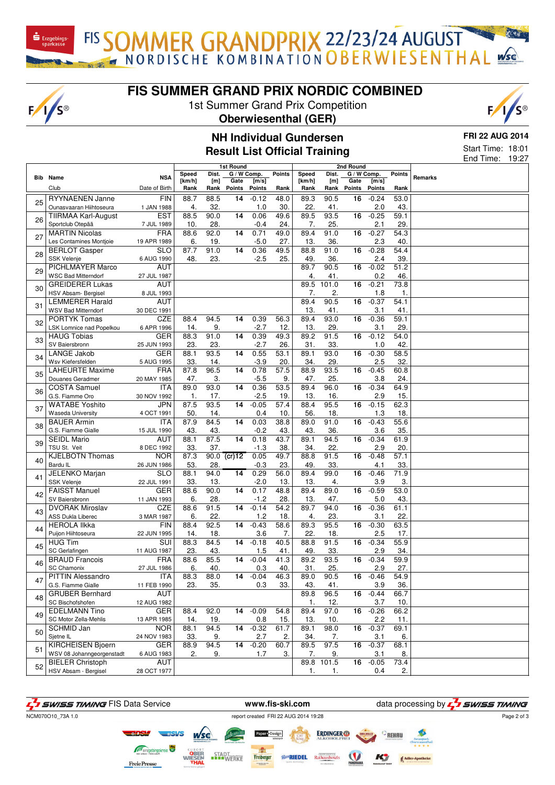FIS SOMMER GRANDPRIX 22/23/24 AUGUST

## **FIS SUMMER GRAND PRIX NORDIC COMBINED**

1st Summer Grand Prix Competition

#### **Oberwiesenthal (GER)**



**FRI 22 AUG 2014**

Start Time: 18:01

| 1st Round<br>2nd Round<br>$\overline{G}$ / W Comp.<br>Points<br>G / W Comp.<br><b>Points</b><br>Dist.<br>Speed<br>Dist.<br>Speed<br><b>NSA</b><br>Remarks<br><b>Bib</b> Name<br>[km/h]<br>[m/s]<br>[m]<br>Gate<br>[m/s]<br>[km/h]<br>[m]<br>Gate<br>Date of Birth<br>Rank<br><b>Points</b><br>Rank<br>Rank<br>Rank<br><b>Points</b><br><b>Points</b><br>Club<br>Rank<br>Points<br>Rank<br>$-0.12$<br><b>RYYNAENEN Janne</b><br><b>FIN</b><br>88.7<br>88.5<br>48.0<br>89.3<br>90.5<br>$-0.24$<br>53.0<br>14<br>16<br>25<br>32.<br>2.0<br>Ounasvaaran Hiihtoseura<br>1 JAN 1988<br>4.<br>30.<br>22.<br>41.<br>43.<br>1.0<br>88.5<br>90.0<br>$-0.25$<br><b>TIIRMAA Karl-August</b><br><b>EST</b><br>14<br>0.06<br>49.6<br>89.5<br>93.5<br>59.1<br>16<br>26<br>28.<br>7.<br>2.1<br>29.<br>Sportclub Otepää<br>7 JUL 1989<br>10.<br>$-0.4$<br>24.<br>25.<br><b>FRA</b><br>92.0<br>0.71<br>91.0<br>$-0.27$<br><b>MARTIN Nicolas</b><br>88.6<br>14<br>49.0<br>89.4<br>16<br>54.3<br>27<br>6.<br>$-5.0$<br>2.3<br>Les Contamines Montjoie<br>19 APR 1989<br>19.<br>27.<br>13.<br>36.<br>40.<br>87.7<br>91.0<br>0.36<br>49.5<br>91.0<br>$-0.28$<br>54.4<br><b>SLO</b><br>14<br>88.8<br>16<br><b>BERLOT Gasper</b><br>28<br>SSK Velenje<br>48.<br>23.<br>$-2.5$<br>25.<br>2.4<br>39.<br>6 AUG 1990<br>49.<br>36.<br><b>AUT</b><br>90.5<br>$-0.02$<br>PICHLMAYER Marco<br>89.7<br>16<br>51.2<br>29<br><b>WSC Bad Mitterndorf</b><br>0.2<br>46.<br>27 JUL 1987<br>4.<br>41.<br>AUT<br>89.5<br>$-0.21$<br><b>GREIDERER Lukas</b><br>101.0<br>16<br>73.8<br>30<br>7.<br>2.<br>1.8<br>HSV Absam- Bergisel<br>8 JUL 1993<br>1.<br>90.5<br>$-0.37$<br><b>LEMMERER Harald</b><br>AUT<br>89.4<br>16<br>54.1<br>31<br>13.<br>3.1<br>41.<br><b>WSV Bad Mitterndorf</b><br>30 DEC 1991<br>41.<br>$-0.36$<br><b>PORTYK Tomas</b><br>CZE<br>94.5<br>0.39<br>56.3<br>89.4<br>93.0<br>16<br>59.1<br>88.4<br>14<br>32<br>$-2.7$<br>13.<br>29.<br>3.1<br>29.<br>LSK Lomnice nad Popelkou<br>6 APR 1996<br>14.<br>9.<br>12.<br>0.39<br>89.2<br>91.5<br>$-0.12$<br><b>HAUG Tobias</b><br><b>GER</b><br>88.3<br>91.0<br>14<br>49.3<br>16<br>54.0<br>33<br>SV Baiersbronn<br>23.<br>23.<br>$-2.7$<br>26.<br>31.<br>33.<br>1.0<br>42.<br>25 JUN 1993<br>93.5<br>0.55<br>53.1<br>93.0<br>$-0.30$<br><b>LANGE Jakob</b><br><b>GER</b><br>88.1<br>14<br>89.1<br>16<br>58.5<br>34<br>33.<br>14.<br>$-3.9$<br>20.<br>34.<br>29.<br>2.5<br>32.<br>Wsv Kiefersfelden<br>5 AUG 1995<br><b>LAHEURTE Maxime</b><br><b>FRA</b><br>87.8<br>96.5<br>14<br>0.78<br>57.5<br>88.9<br>93.5<br>16<br>$-0.45$<br>60.8<br>35<br>$-5.5$<br>Douanes Geradmer<br>20 MAY 1985<br>47.<br>3.<br>9.<br>47.<br>25.<br>3.8<br>24.<br>89.0<br>93.0<br>14<br>0.36<br>53.5<br>89.4<br>$\overline{16}$<br>$-0.34$<br><b>COSTA Samuel</b><br>ITA<br>96.0<br>64.9<br>36<br>G.S. Fiamme Oro<br>17.<br>$-2.5$<br>13.<br>16.<br>2.9<br>30 NOV 1992<br>1.<br>19.<br>15.<br><b>WATABE Yoshito</b><br><b>JPN</b><br>87.5<br>93.5<br>14<br>$-0.05$<br>57.4<br>95.5<br>$-0.15$<br>62.3<br>88.4<br>16<br>37<br>14.<br>18.<br><b>Waseda University</b><br>4 OCT 1991<br>50.<br>0.4<br>10.<br>56.<br>18.<br>1.3<br><b>ITA</b><br>87.9<br>84.5<br>0.03<br>38.8<br>$-0.43$<br>55.6<br><b>BAUER Armin</b><br>14<br>89.0<br>91.0<br>16<br>38<br>43.<br>43.<br>$-0.2$<br>36.<br>3.6<br>35.<br>G.S. Fiamme Gialle<br>43.<br>43.<br>15 JUL 1990<br>87.5<br>88.1<br>0.18<br>43.7<br>89.1<br>94.5<br>$-0.34$<br>61.9<br><b>SEIDL Mario</b><br>AUT<br>14<br>16<br>39<br>TSU St. Veit<br>8 DEC 1992<br>33.<br>37.<br>$-1.3$<br>38.<br>34.<br>22.<br>2.9<br>20.<br>87.3<br>90.0<br>49.7<br>88.8<br>91.5<br>$-0.48$<br>57.1<br><b>KJELBOTN Thomas</b><br><b>NOR</b><br>$\sqrt{(cr)}$ 12<br>0.05<br>16<br>40<br>Bardu IL<br>53.<br>23.<br>49.<br>33.<br>28.<br>$-0.3$<br>33.<br>4.1<br>26 JUN 1986<br>94.0<br>0.29<br>56.0<br>$-0.46$<br>JELENKO Marjan<br><b>SLO</b><br>88.1<br>14<br>89.4<br>99.0<br>16<br>71.9<br>41<br>SSK Velenje<br>$-2.0$<br>3.9<br>3.<br>22 JUL 1991<br>33.<br>13.<br>13.<br>13.<br>4.<br><b>GER</b><br>88.6<br>90.0<br>0.17<br>48.8<br>89.4<br>89.0<br>$-0.59$<br>53.0<br><b>FAISST Manuel</b><br>14<br>16<br>42<br>5.0<br>SV Baiersbronn<br>11 JAN 1993<br>6.<br>28.<br>$-1.2$<br>28.<br>13.<br>47.<br>43.<br><b>CZE</b><br>88.6<br>$-0.14$<br>94.0<br>$-0.36$<br><b>DVORAK Miroslav</b><br>91.5<br>14<br>54.2<br>89.7<br>16<br>61.1<br>43<br><b>ASS Dukla Liberec</b><br>22.<br>23.<br>3.1<br>22.<br>3 MAR 1987<br>6.<br>1.2<br>18.<br>4.<br>92.5<br>$-0.43$<br>58.6<br>89.3<br>95.5<br>$-0.30$<br><b>HEROLA IIkka</b><br><b>FIN</b><br>88.4<br>14<br>16<br>63.5<br>44<br>Puijon Hiihtoseura<br>3.6<br>7.<br>22.<br>2.5<br>17.<br>22 JUN 1995<br>14.<br>18.<br>18.<br>$-0.34$<br>55.9<br><b>HUG Tim</b><br>SUI<br>88.3<br>84.5<br>14<br>$-0.18$<br>40.5<br>88.8<br>91.5<br>16<br>45<br>SC Gerlafingen<br>33.<br>2.9<br>34.<br>11 AUG 1987<br>23.<br>43.<br>1.5<br>41.<br>49.<br>88.6<br>85.5<br>89.2<br>$-0.34$<br>FRA<br>14<br>$-0.04$<br>41.3<br>93.5<br>16<br>59.9<br><b>BRAUD Francois</b><br>46<br>6.<br>0.3<br>40.<br>25.<br>2.9<br>27.<br><b>SC Chamonix</b><br>27 JUL 1986<br>40.<br>31.<br>PITTIN Alessandro<br>ITA<br>88.3<br>88.0<br>$14 - 0.04$<br>46.3<br>89.0<br>90.5<br>16 -0.46<br>54.9<br>47<br>G.S. Fiamme Gialle<br>3.9<br>11 FEB 1990<br>23.<br>35.<br>0.3<br>33.<br>43.<br>41.<br>36.<br><b>GRUBER Bernhard</b><br>16<br>$-0.44$<br>AUT<br>89.8<br>96.5<br>66.7<br>48<br>1.<br>3.7<br>10.<br>SC Bischofshofen<br>12 AUG 1982<br>12.<br>$-0.09$<br>54.8<br>89.4<br>97.0<br>$16 - 0.26$<br><b>EDELMANN Tino</b><br>GER<br>88.4<br>92.0<br>14<br>66.2<br>49<br>SC Motor Zella-Mehlis<br>0.8<br>13 APR 1985<br>14.<br>19.<br>15.<br>13.<br>10.<br>2.2<br>11. |  |  |  |  |  |  |  |  |  | 19:27<br>End Time: |  |  |
|-------------------------------------------------------------------------------------------------------------------------------------------------------------------------------------------------------------------------------------------------------------------------------------------------------------------------------------------------------------------------------------------------------------------------------------------------------------------------------------------------------------------------------------------------------------------------------------------------------------------------------------------------------------------------------------------------------------------------------------------------------------------------------------------------------------------------------------------------------------------------------------------------------------------------------------------------------------------------------------------------------------------------------------------------------------------------------------------------------------------------------------------------------------------------------------------------------------------------------------------------------------------------------------------------------------------------------------------------------------------------------------------------------------------------------------------------------------------------------------------------------------------------------------------------------------------------------------------------------------------------------------------------------------------------------------------------------------------------------------------------------------------------------------------------------------------------------------------------------------------------------------------------------------------------------------------------------------------------------------------------------------------------------------------------------------------------------------------------------------------------------------------------------------------------------------------------------------------------------------------------------------------------------------------------------------------------------------------------------------------------------------------------------------------------------------------------------------------------------------------------------------------------------------------------------------------------------------------------------------------------------------------------------------------------------------------------------------------------------------------------------------------------------------------------------------------------------------------------------------------------------------------------------------------------------------------------------------------------------------------------------------------------------------------------------------------------------------------------------------------------------------------------------------------------------------------------------------------------------------------------------------------------------------------------------------------------------------------------------------------------------------------------------------------------------------------------------------------------------------------------------------------------------------------------------------------------------------------------------------------------------------------------------------------------------------------------------------------------------------------------------------------------------------------------------------------------------------------------------------------------------------------------------------------------------------------------------------------------------------------------------------------------------------------------------------------------------------------------------------------------------------------------------------------------------------------------------------------------------------------------------------------------------------------------------------------------------------------------------------------------------------------------------------------------------------------------------------------------------------------------------------------------------------------------------------------------------------------------------------------------------------------------------------------------------------------------------------------------------------------------------------------------------------------------------------------------------------------------------------------------------------------------------------------------------------------------------------------------------------------------------------------------------------------------------------------------------------------------------------------------------------------------------------------------------------------------------------------------------------------------------------------------------------------------------------------------------------------------------------------------------------------------------------------------------------------------------------------------------------------------------------------------------------------------------------------------------------------------------------------------------------------------------------------------------------------------------------|--|--|--|--|--|--|--|--|--|--------------------|--|--|
|                                                                                                                                                                                                                                                                                                                                                                                                                                                                                                                                                                                                                                                                                                                                                                                                                                                                                                                                                                                                                                                                                                                                                                                                                                                                                                                                                                                                                                                                                                                                                                                                                                                                                                                                                                                                                                                                                                                                                                                                                                                                                                                                                                                                                                                                                                                                                                                                                                                                                                                                                                                                                                                                                                                                                                                                                                                                                                                                                                                                                                                                                                                                                                                                                                                                                                                                                                                                                                                                                                                                                                                                                                                                                                                                                                                                                                                                                                                                                                                                                                                                                                                                                                                                                                                                                                                                                                                                                                                                                                                                                                                                                                                                                                                                                                                                                                                                                                                                                                                                                                                                                                                                                                                                                                                                                                                                                                                                                                                                                                                                                                                                                                                                                                             |  |  |  |  |  |  |  |  |  |                    |  |  |
|                                                                                                                                                                                                                                                                                                                                                                                                                                                                                                                                                                                                                                                                                                                                                                                                                                                                                                                                                                                                                                                                                                                                                                                                                                                                                                                                                                                                                                                                                                                                                                                                                                                                                                                                                                                                                                                                                                                                                                                                                                                                                                                                                                                                                                                                                                                                                                                                                                                                                                                                                                                                                                                                                                                                                                                                                                                                                                                                                                                                                                                                                                                                                                                                                                                                                                                                                                                                                                                                                                                                                                                                                                                                                                                                                                                                                                                                                                                                                                                                                                                                                                                                                                                                                                                                                                                                                                                                                                                                                                                                                                                                                                                                                                                                                                                                                                                                                                                                                                                                                                                                                                                                                                                                                                                                                                                                                                                                                                                                                                                                                                                                                                                                                                             |  |  |  |  |  |  |  |  |  |                    |  |  |
|                                                                                                                                                                                                                                                                                                                                                                                                                                                                                                                                                                                                                                                                                                                                                                                                                                                                                                                                                                                                                                                                                                                                                                                                                                                                                                                                                                                                                                                                                                                                                                                                                                                                                                                                                                                                                                                                                                                                                                                                                                                                                                                                                                                                                                                                                                                                                                                                                                                                                                                                                                                                                                                                                                                                                                                                                                                                                                                                                                                                                                                                                                                                                                                                                                                                                                                                                                                                                                                                                                                                                                                                                                                                                                                                                                                                                                                                                                                                                                                                                                                                                                                                                                                                                                                                                                                                                                                                                                                                                                                                                                                                                                                                                                                                                                                                                                                                                                                                                                                                                                                                                                                                                                                                                                                                                                                                                                                                                                                                                                                                                                                                                                                                                                             |  |  |  |  |  |  |  |  |  |                    |  |  |
|                                                                                                                                                                                                                                                                                                                                                                                                                                                                                                                                                                                                                                                                                                                                                                                                                                                                                                                                                                                                                                                                                                                                                                                                                                                                                                                                                                                                                                                                                                                                                                                                                                                                                                                                                                                                                                                                                                                                                                                                                                                                                                                                                                                                                                                                                                                                                                                                                                                                                                                                                                                                                                                                                                                                                                                                                                                                                                                                                                                                                                                                                                                                                                                                                                                                                                                                                                                                                                                                                                                                                                                                                                                                                                                                                                                                                                                                                                                                                                                                                                                                                                                                                                                                                                                                                                                                                                                                                                                                                                                                                                                                                                                                                                                                                                                                                                                                                                                                                                                                                                                                                                                                                                                                                                                                                                                                                                                                                                                                                                                                                                                                                                                                                                             |  |  |  |  |  |  |  |  |  |                    |  |  |
|                                                                                                                                                                                                                                                                                                                                                                                                                                                                                                                                                                                                                                                                                                                                                                                                                                                                                                                                                                                                                                                                                                                                                                                                                                                                                                                                                                                                                                                                                                                                                                                                                                                                                                                                                                                                                                                                                                                                                                                                                                                                                                                                                                                                                                                                                                                                                                                                                                                                                                                                                                                                                                                                                                                                                                                                                                                                                                                                                                                                                                                                                                                                                                                                                                                                                                                                                                                                                                                                                                                                                                                                                                                                                                                                                                                                                                                                                                                                                                                                                                                                                                                                                                                                                                                                                                                                                                                                                                                                                                                                                                                                                                                                                                                                                                                                                                                                                                                                                                                                                                                                                                                                                                                                                                                                                                                                                                                                                                                                                                                                                                                                                                                                                                             |  |  |  |  |  |  |  |  |  |                    |  |  |
|                                                                                                                                                                                                                                                                                                                                                                                                                                                                                                                                                                                                                                                                                                                                                                                                                                                                                                                                                                                                                                                                                                                                                                                                                                                                                                                                                                                                                                                                                                                                                                                                                                                                                                                                                                                                                                                                                                                                                                                                                                                                                                                                                                                                                                                                                                                                                                                                                                                                                                                                                                                                                                                                                                                                                                                                                                                                                                                                                                                                                                                                                                                                                                                                                                                                                                                                                                                                                                                                                                                                                                                                                                                                                                                                                                                                                                                                                                                                                                                                                                                                                                                                                                                                                                                                                                                                                                                                                                                                                                                                                                                                                                                                                                                                                                                                                                                                                                                                                                                                                                                                                                                                                                                                                                                                                                                                                                                                                                                                                                                                                                                                                                                                                                             |  |  |  |  |  |  |  |  |  |                    |  |  |
|                                                                                                                                                                                                                                                                                                                                                                                                                                                                                                                                                                                                                                                                                                                                                                                                                                                                                                                                                                                                                                                                                                                                                                                                                                                                                                                                                                                                                                                                                                                                                                                                                                                                                                                                                                                                                                                                                                                                                                                                                                                                                                                                                                                                                                                                                                                                                                                                                                                                                                                                                                                                                                                                                                                                                                                                                                                                                                                                                                                                                                                                                                                                                                                                                                                                                                                                                                                                                                                                                                                                                                                                                                                                                                                                                                                                                                                                                                                                                                                                                                                                                                                                                                                                                                                                                                                                                                                                                                                                                                                                                                                                                                                                                                                                                                                                                                                                                                                                                                                                                                                                                                                                                                                                                                                                                                                                                                                                                                                                                                                                                                                                                                                                                                             |  |  |  |  |  |  |  |  |  |                    |  |  |
|                                                                                                                                                                                                                                                                                                                                                                                                                                                                                                                                                                                                                                                                                                                                                                                                                                                                                                                                                                                                                                                                                                                                                                                                                                                                                                                                                                                                                                                                                                                                                                                                                                                                                                                                                                                                                                                                                                                                                                                                                                                                                                                                                                                                                                                                                                                                                                                                                                                                                                                                                                                                                                                                                                                                                                                                                                                                                                                                                                                                                                                                                                                                                                                                                                                                                                                                                                                                                                                                                                                                                                                                                                                                                                                                                                                                                                                                                                                                                                                                                                                                                                                                                                                                                                                                                                                                                                                                                                                                                                                                                                                                                                                                                                                                                                                                                                                                                                                                                                                                                                                                                                                                                                                                                                                                                                                                                                                                                                                                                                                                                                                                                                                                                                             |  |  |  |  |  |  |  |  |  |                    |  |  |
|                                                                                                                                                                                                                                                                                                                                                                                                                                                                                                                                                                                                                                                                                                                                                                                                                                                                                                                                                                                                                                                                                                                                                                                                                                                                                                                                                                                                                                                                                                                                                                                                                                                                                                                                                                                                                                                                                                                                                                                                                                                                                                                                                                                                                                                                                                                                                                                                                                                                                                                                                                                                                                                                                                                                                                                                                                                                                                                                                                                                                                                                                                                                                                                                                                                                                                                                                                                                                                                                                                                                                                                                                                                                                                                                                                                                                                                                                                                                                                                                                                                                                                                                                                                                                                                                                                                                                                                                                                                                                                                                                                                                                                                                                                                                                                                                                                                                                                                                                                                                                                                                                                                                                                                                                                                                                                                                                                                                                                                                                                                                                                                                                                                                                                             |  |  |  |  |  |  |  |  |  |                    |  |  |
|                                                                                                                                                                                                                                                                                                                                                                                                                                                                                                                                                                                                                                                                                                                                                                                                                                                                                                                                                                                                                                                                                                                                                                                                                                                                                                                                                                                                                                                                                                                                                                                                                                                                                                                                                                                                                                                                                                                                                                                                                                                                                                                                                                                                                                                                                                                                                                                                                                                                                                                                                                                                                                                                                                                                                                                                                                                                                                                                                                                                                                                                                                                                                                                                                                                                                                                                                                                                                                                                                                                                                                                                                                                                                                                                                                                                                                                                                                                                                                                                                                                                                                                                                                                                                                                                                                                                                                                                                                                                                                                                                                                                                                                                                                                                                                                                                                                                                                                                                                                                                                                                                                                                                                                                                                                                                                                                                                                                                                                                                                                                                                                                                                                                                                             |  |  |  |  |  |  |  |  |  |                    |  |  |
|                                                                                                                                                                                                                                                                                                                                                                                                                                                                                                                                                                                                                                                                                                                                                                                                                                                                                                                                                                                                                                                                                                                                                                                                                                                                                                                                                                                                                                                                                                                                                                                                                                                                                                                                                                                                                                                                                                                                                                                                                                                                                                                                                                                                                                                                                                                                                                                                                                                                                                                                                                                                                                                                                                                                                                                                                                                                                                                                                                                                                                                                                                                                                                                                                                                                                                                                                                                                                                                                                                                                                                                                                                                                                                                                                                                                                                                                                                                                                                                                                                                                                                                                                                                                                                                                                                                                                                                                                                                                                                                                                                                                                                                                                                                                                                                                                                                                                                                                                                                                                                                                                                                                                                                                                                                                                                                                                                                                                                                                                                                                                                                                                                                                                                             |  |  |  |  |  |  |  |  |  |                    |  |  |
|                                                                                                                                                                                                                                                                                                                                                                                                                                                                                                                                                                                                                                                                                                                                                                                                                                                                                                                                                                                                                                                                                                                                                                                                                                                                                                                                                                                                                                                                                                                                                                                                                                                                                                                                                                                                                                                                                                                                                                                                                                                                                                                                                                                                                                                                                                                                                                                                                                                                                                                                                                                                                                                                                                                                                                                                                                                                                                                                                                                                                                                                                                                                                                                                                                                                                                                                                                                                                                                                                                                                                                                                                                                                                                                                                                                                                                                                                                                                                                                                                                                                                                                                                                                                                                                                                                                                                                                                                                                                                                                                                                                                                                                                                                                                                                                                                                                                                                                                                                                                                                                                                                                                                                                                                                                                                                                                                                                                                                                                                                                                                                                                                                                                                                             |  |  |  |  |  |  |  |  |  |                    |  |  |
|                                                                                                                                                                                                                                                                                                                                                                                                                                                                                                                                                                                                                                                                                                                                                                                                                                                                                                                                                                                                                                                                                                                                                                                                                                                                                                                                                                                                                                                                                                                                                                                                                                                                                                                                                                                                                                                                                                                                                                                                                                                                                                                                                                                                                                                                                                                                                                                                                                                                                                                                                                                                                                                                                                                                                                                                                                                                                                                                                                                                                                                                                                                                                                                                                                                                                                                                                                                                                                                                                                                                                                                                                                                                                                                                                                                                                                                                                                                                                                                                                                                                                                                                                                                                                                                                                                                                                                                                                                                                                                                                                                                                                                                                                                                                                                                                                                                                                                                                                                                                                                                                                                                                                                                                                                                                                                                                                                                                                                                                                                                                                                                                                                                                                                             |  |  |  |  |  |  |  |  |  |                    |  |  |
|                                                                                                                                                                                                                                                                                                                                                                                                                                                                                                                                                                                                                                                                                                                                                                                                                                                                                                                                                                                                                                                                                                                                                                                                                                                                                                                                                                                                                                                                                                                                                                                                                                                                                                                                                                                                                                                                                                                                                                                                                                                                                                                                                                                                                                                                                                                                                                                                                                                                                                                                                                                                                                                                                                                                                                                                                                                                                                                                                                                                                                                                                                                                                                                                                                                                                                                                                                                                                                                                                                                                                                                                                                                                                                                                                                                                                                                                                                                                                                                                                                                                                                                                                                                                                                                                                                                                                                                                                                                                                                                                                                                                                                                                                                                                                                                                                                                                                                                                                                                                                                                                                                                                                                                                                                                                                                                                                                                                                                                                                                                                                                                                                                                                                                             |  |  |  |  |  |  |  |  |  |                    |  |  |
|                                                                                                                                                                                                                                                                                                                                                                                                                                                                                                                                                                                                                                                                                                                                                                                                                                                                                                                                                                                                                                                                                                                                                                                                                                                                                                                                                                                                                                                                                                                                                                                                                                                                                                                                                                                                                                                                                                                                                                                                                                                                                                                                                                                                                                                                                                                                                                                                                                                                                                                                                                                                                                                                                                                                                                                                                                                                                                                                                                                                                                                                                                                                                                                                                                                                                                                                                                                                                                                                                                                                                                                                                                                                                                                                                                                                                                                                                                                                                                                                                                                                                                                                                                                                                                                                                                                                                                                                                                                                                                                                                                                                                                                                                                                                                                                                                                                                                                                                                                                                                                                                                                                                                                                                                                                                                                                                                                                                                                                                                                                                                                                                                                                                                                             |  |  |  |  |  |  |  |  |  |                    |  |  |
|                                                                                                                                                                                                                                                                                                                                                                                                                                                                                                                                                                                                                                                                                                                                                                                                                                                                                                                                                                                                                                                                                                                                                                                                                                                                                                                                                                                                                                                                                                                                                                                                                                                                                                                                                                                                                                                                                                                                                                                                                                                                                                                                                                                                                                                                                                                                                                                                                                                                                                                                                                                                                                                                                                                                                                                                                                                                                                                                                                                                                                                                                                                                                                                                                                                                                                                                                                                                                                                                                                                                                                                                                                                                                                                                                                                                                                                                                                                                                                                                                                                                                                                                                                                                                                                                                                                                                                                                                                                                                                                                                                                                                                                                                                                                                                                                                                                                                                                                                                                                                                                                                                                                                                                                                                                                                                                                                                                                                                                                                                                                                                                                                                                                                                             |  |  |  |  |  |  |  |  |  |                    |  |  |
|                                                                                                                                                                                                                                                                                                                                                                                                                                                                                                                                                                                                                                                                                                                                                                                                                                                                                                                                                                                                                                                                                                                                                                                                                                                                                                                                                                                                                                                                                                                                                                                                                                                                                                                                                                                                                                                                                                                                                                                                                                                                                                                                                                                                                                                                                                                                                                                                                                                                                                                                                                                                                                                                                                                                                                                                                                                                                                                                                                                                                                                                                                                                                                                                                                                                                                                                                                                                                                                                                                                                                                                                                                                                                                                                                                                                                                                                                                                                                                                                                                                                                                                                                                                                                                                                                                                                                                                                                                                                                                                                                                                                                                                                                                                                                                                                                                                                                                                                                                                                                                                                                                                                                                                                                                                                                                                                                                                                                                                                                                                                                                                                                                                                                                             |  |  |  |  |  |  |  |  |  |                    |  |  |
|                                                                                                                                                                                                                                                                                                                                                                                                                                                                                                                                                                                                                                                                                                                                                                                                                                                                                                                                                                                                                                                                                                                                                                                                                                                                                                                                                                                                                                                                                                                                                                                                                                                                                                                                                                                                                                                                                                                                                                                                                                                                                                                                                                                                                                                                                                                                                                                                                                                                                                                                                                                                                                                                                                                                                                                                                                                                                                                                                                                                                                                                                                                                                                                                                                                                                                                                                                                                                                                                                                                                                                                                                                                                                                                                                                                                                                                                                                                                                                                                                                                                                                                                                                                                                                                                                                                                                                                                                                                                                                                                                                                                                                                                                                                                                                                                                                                                                                                                                                                                                                                                                                                                                                                                                                                                                                                                                                                                                                                                                                                                                                                                                                                                                                             |  |  |  |  |  |  |  |  |  |                    |  |  |
|                                                                                                                                                                                                                                                                                                                                                                                                                                                                                                                                                                                                                                                                                                                                                                                                                                                                                                                                                                                                                                                                                                                                                                                                                                                                                                                                                                                                                                                                                                                                                                                                                                                                                                                                                                                                                                                                                                                                                                                                                                                                                                                                                                                                                                                                                                                                                                                                                                                                                                                                                                                                                                                                                                                                                                                                                                                                                                                                                                                                                                                                                                                                                                                                                                                                                                                                                                                                                                                                                                                                                                                                                                                                                                                                                                                                                                                                                                                                                                                                                                                                                                                                                                                                                                                                                                                                                                                                                                                                                                                                                                                                                                                                                                                                                                                                                                                                                                                                                                                                                                                                                                                                                                                                                                                                                                                                                                                                                                                                                                                                                                                                                                                                                                             |  |  |  |  |  |  |  |  |  |                    |  |  |
|                                                                                                                                                                                                                                                                                                                                                                                                                                                                                                                                                                                                                                                                                                                                                                                                                                                                                                                                                                                                                                                                                                                                                                                                                                                                                                                                                                                                                                                                                                                                                                                                                                                                                                                                                                                                                                                                                                                                                                                                                                                                                                                                                                                                                                                                                                                                                                                                                                                                                                                                                                                                                                                                                                                                                                                                                                                                                                                                                                                                                                                                                                                                                                                                                                                                                                                                                                                                                                                                                                                                                                                                                                                                                                                                                                                                                                                                                                                                                                                                                                                                                                                                                                                                                                                                                                                                                                                                                                                                                                                                                                                                                                                                                                                                                                                                                                                                                                                                                                                                                                                                                                                                                                                                                                                                                                                                                                                                                                                                                                                                                                                                                                                                                                             |  |  |  |  |  |  |  |  |  |                    |  |  |
|                                                                                                                                                                                                                                                                                                                                                                                                                                                                                                                                                                                                                                                                                                                                                                                                                                                                                                                                                                                                                                                                                                                                                                                                                                                                                                                                                                                                                                                                                                                                                                                                                                                                                                                                                                                                                                                                                                                                                                                                                                                                                                                                                                                                                                                                                                                                                                                                                                                                                                                                                                                                                                                                                                                                                                                                                                                                                                                                                                                                                                                                                                                                                                                                                                                                                                                                                                                                                                                                                                                                                                                                                                                                                                                                                                                                                                                                                                                                                                                                                                                                                                                                                                                                                                                                                                                                                                                                                                                                                                                                                                                                                                                                                                                                                                                                                                                                                                                                                                                                                                                                                                                                                                                                                                                                                                                                                                                                                                                                                                                                                                                                                                                                                                             |  |  |  |  |  |  |  |  |  |                    |  |  |
|                                                                                                                                                                                                                                                                                                                                                                                                                                                                                                                                                                                                                                                                                                                                                                                                                                                                                                                                                                                                                                                                                                                                                                                                                                                                                                                                                                                                                                                                                                                                                                                                                                                                                                                                                                                                                                                                                                                                                                                                                                                                                                                                                                                                                                                                                                                                                                                                                                                                                                                                                                                                                                                                                                                                                                                                                                                                                                                                                                                                                                                                                                                                                                                                                                                                                                                                                                                                                                                                                                                                                                                                                                                                                                                                                                                                                                                                                                                                                                                                                                                                                                                                                                                                                                                                                                                                                                                                                                                                                                                                                                                                                                                                                                                                                                                                                                                                                                                                                                                                                                                                                                                                                                                                                                                                                                                                                                                                                                                                                                                                                                                                                                                                                                             |  |  |  |  |  |  |  |  |  |                    |  |  |
|                                                                                                                                                                                                                                                                                                                                                                                                                                                                                                                                                                                                                                                                                                                                                                                                                                                                                                                                                                                                                                                                                                                                                                                                                                                                                                                                                                                                                                                                                                                                                                                                                                                                                                                                                                                                                                                                                                                                                                                                                                                                                                                                                                                                                                                                                                                                                                                                                                                                                                                                                                                                                                                                                                                                                                                                                                                                                                                                                                                                                                                                                                                                                                                                                                                                                                                                                                                                                                                                                                                                                                                                                                                                                                                                                                                                                                                                                                                                                                                                                                                                                                                                                                                                                                                                                                                                                                                                                                                                                                                                                                                                                                                                                                                                                                                                                                                                                                                                                                                                                                                                                                                                                                                                                                                                                                                                                                                                                                                                                                                                                                                                                                                                                                             |  |  |  |  |  |  |  |  |  |                    |  |  |
|                                                                                                                                                                                                                                                                                                                                                                                                                                                                                                                                                                                                                                                                                                                                                                                                                                                                                                                                                                                                                                                                                                                                                                                                                                                                                                                                                                                                                                                                                                                                                                                                                                                                                                                                                                                                                                                                                                                                                                                                                                                                                                                                                                                                                                                                                                                                                                                                                                                                                                                                                                                                                                                                                                                                                                                                                                                                                                                                                                                                                                                                                                                                                                                                                                                                                                                                                                                                                                                                                                                                                                                                                                                                                                                                                                                                                                                                                                                                                                                                                                                                                                                                                                                                                                                                                                                                                                                                                                                                                                                                                                                                                                                                                                                                                                                                                                                                                                                                                                                                                                                                                                                                                                                                                                                                                                                                                                                                                                                                                                                                                                                                                                                                                                             |  |  |  |  |  |  |  |  |  |                    |  |  |
|                                                                                                                                                                                                                                                                                                                                                                                                                                                                                                                                                                                                                                                                                                                                                                                                                                                                                                                                                                                                                                                                                                                                                                                                                                                                                                                                                                                                                                                                                                                                                                                                                                                                                                                                                                                                                                                                                                                                                                                                                                                                                                                                                                                                                                                                                                                                                                                                                                                                                                                                                                                                                                                                                                                                                                                                                                                                                                                                                                                                                                                                                                                                                                                                                                                                                                                                                                                                                                                                                                                                                                                                                                                                                                                                                                                                                                                                                                                                                                                                                                                                                                                                                                                                                                                                                                                                                                                                                                                                                                                                                                                                                                                                                                                                                                                                                                                                                                                                                                                                                                                                                                                                                                                                                                                                                                                                                                                                                                                                                                                                                                                                                                                                                                             |  |  |  |  |  |  |  |  |  |                    |  |  |
|                                                                                                                                                                                                                                                                                                                                                                                                                                                                                                                                                                                                                                                                                                                                                                                                                                                                                                                                                                                                                                                                                                                                                                                                                                                                                                                                                                                                                                                                                                                                                                                                                                                                                                                                                                                                                                                                                                                                                                                                                                                                                                                                                                                                                                                                                                                                                                                                                                                                                                                                                                                                                                                                                                                                                                                                                                                                                                                                                                                                                                                                                                                                                                                                                                                                                                                                                                                                                                                                                                                                                                                                                                                                                                                                                                                                                                                                                                                                                                                                                                                                                                                                                                                                                                                                                                                                                                                                                                                                                                                                                                                                                                                                                                                                                                                                                                                                                                                                                                                                                                                                                                                                                                                                                                                                                                                                                                                                                                                                                                                                                                                                                                                                                                             |  |  |  |  |  |  |  |  |  |                    |  |  |
|                                                                                                                                                                                                                                                                                                                                                                                                                                                                                                                                                                                                                                                                                                                                                                                                                                                                                                                                                                                                                                                                                                                                                                                                                                                                                                                                                                                                                                                                                                                                                                                                                                                                                                                                                                                                                                                                                                                                                                                                                                                                                                                                                                                                                                                                                                                                                                                                                                                                                                                                                                                                                                                                                                                                                                                                                                                                                                                                                                                                                                                                                                                                                                                                                                                                                                                                                                                                                                                                                                                                                                                                                                                                                                                                                                                                                                                                                                                                                                                                                                                                                                                                                                                                                                                                                                                                                                                                                                                                                                                                                                                                                                                                                                                                                                                                                                                                                                                                                                                                                                                                                                                                                                                                                                                                                                                                                                                                                                                                                                                                                                                                                                                                                                             |  |  |  |  |  |  |  |  |  |                    |  |  |
|                                                                                                                                                                                                                                                                                                                                                                                                                                                                                                                                                                                                                                                                                                                                                                                                                                                                                                                                                                                                                                                                                                                                                                                                                                                                                                                                                                                                                                                                                                                                                                                                                                                                                                                                                                                                                                                                                                                                                                                                                                                                                                                                                                                                                                                                                                                                                                                                                                                                                                                                                                                                                                                                                                                                                                                                                                                                                                                                                                                                                                                                                                                                                                                                                                                                                                                                                                                                                                                                                                                                                                                                                                                                                                                                                                                                                                                                                                                                                                                                                                                                                                                                                                                                                                                                                                                                                                                                                                                                                                                                                                                                                                                                                                                                                                                                                                                                                                                                                                                                                                                                                                                                                                                                                                                                                                                                                                                                                                                                                                                                                                                                                                                                                                             |  |  |  |  |  |  |  |  |  |                    |  |  |
|                                                                                                                                                                                                                                                                                                                                                                                                                                                                                                                                                                                                                                                                                                                                                                                                                                                                                                                                                                                                                                                                                                                                                                                                                                                                                                                                                                                                                                                                                                                                                                                                                                                                                                                                                                                                                                                                                                                                                                                                                                                                                                                                                                                                                                                                                                                                                                                                                                                                                                                                                                                                                                                                                                                                                                                                                                                                                                                                                                                                                                                                                                                                                                                                                                                                                                                                                                                                                                                                                                                                                                                                                                                                                                                                                                                                                                                                                                                                                                                                                                                                                                                                                                                                                                                                                                                                                                                                                                                                                                                                                                                                                                                                                                                                                                                                                                                                                                                                                                                                                                                                                                                                                                                                                                                                                                                                                                                                                                                                                                                                                                                                                                                                                                             |  |  |  |  |  |  |  |  |  |                    |  |  |
|                                                                                                                                                                                                                                                                                                                                                                                                                                                                                                                                                                                                                                                                                                                                                                                                                                                                                                                                                                                                                                                                                                                                                                                                                                                                                                                                                                                                                                                                                                                                                                                                                                                                                                                                                                                                                                                                                                                                                                                                                                                                                                                                                                                                                                                                                                                                                                                                                                                                                                                                                                                                                                                                                                                                                                                                                                                                                                                                                                                                                                                                                                                                                                                                                                                                                                                                                                                                                                                                                                                                                                                                                                                                                                                                                                                                                                                                                                                                                                                                                                                                                                                                                                                                                                                                                                                                                                                                                                                                                                                                                                                                                                                                                                                                                                                                                                                                                                                                                                                                                                                                                                                                                                                                                                                                                                                                                                                                                                                                                                                                                                                                                                                                                                             |  |  |  |  |  |  |  |  |  |                    |  |  |
|                                                                                                                                                                                                                                                                                                                                                                                                                                                                                                                                                                                                                                                                                                                                                                                                                                                                                                                                                                                                                                                                                                                                                                                                                                                                                                                                                                                                                                                                                                                                                                                                                                                                                                                                                                                                                                                                                                                                                                                                                                                                                                                                                                                                                                                                                                                                                                                                                                                                                                                                                                                                                                                                                                                                                                                                                                                                                                                                                                                                                                                                                                                                                                                                                                                                                                                                                                                                                                                                                                                                                                                                                                                                                                                                                                                                                                                                                                                                                                                                                                                                                                                                                                                                                                                                                                                                                                                                                                                                                                                                                                                                                                                                                                                                                                                                                                                                                                                                                                                                                                                                                                                                                                                                                                                                                                                                                                                                                                                                                                                                                                                                                                                                                                             |  |  |  |  |  |  |  |  |  |                    |  |  |
|                                                                                                                                                                                                                                                                                                                                                                                                                                                                                                                                                                                                                                                                                                                                                                                                                                                                                                                                                                                                                                                                                                                                                                                                                                                                                                                                                                                                                                                                                                                                                                                                                                                                                                                                                                                                                                                                                                                                                                                                                                                                                                                                                                                                                                                                                                                                                                                                                                                                                                                                                                                                                                                                                                                                                                                                                                                                                                                                                                                                                                                                                                                                                                                                                                                                                                                                                                                                                                                                                                                                                                                                                                                                                                                                                                                                                                                                                                                                                                                                                                                                                                                                                                                                                                                                                                                                                                                                                                                                                                                                                                                                                                                                                                                                                                                                                                                                                                                                                                                                                                                                                                                                                                                                                                                                                                                                                                                                                                                                                                                                                                                                                                                                                                             |  |  |  |  |  |  |  |  |  |                    |  |  |
|                                                                                                                                                                                                                                                                                                                                                                                                                                                                                                                                                                                                                                                                                                                                                                                                                                                                                                                                                                                                                                                                                                                                                                                                                                                                                                                                                                                                                                                                                                                                                                                                                                                                                                                                                                                                                                                                                                                                                                                                                                                                                                                                                                                                                                                                                                                                                                                                                                                                                                                                                                                                                                                                                                                                                                                                                                                                                                                                                                                                                                                                                                                                                                                                                                                                                                                                                                                                                                                                                                                                                                                                                                                                                                                                                                                                                                                                                                                                                                                                                                                                                                                                                                                                                                                                                                                                                                                                                                                                                                                                                                                                                                                                                                                                                                                                                                                                                                                                                                                                                                                                                                                                                                                                                                                                                                                                                                                                                                                                                                                                                                                                                                                                                                             |  |  |  |  |  |  |  |  |  |                    |  |  |
|                                                                                                                                                                                                                                                                                                                                                                                                                                                                                                                                                                                                                                                                                                                                                                                                                                                                                                                                                                                                                                                                                                                                                                                                                                                                                                                                                                                                                                                                                                                                                                                                                                                                                                                                                                                                                                                                                                                                                                                                                                                                                                                                                                                                                                                                                                                                                                                                                                                                                                                                                                                                                                                                                                                                                                                                                                                                                                                                                                                                                                                                                                                                                                                                                                                                                                                                                                                                                                                                                                                                                                                                                                                                                                                                                                                                                                                                                                                                                                                                                                                                                                                                                                                                                                                                                                                                                                                                                                                                                                                                                                                                                                                                                                                                                                                                                                                                                                                                                                                                                                                                                                                                                                                                                                                                                                                                                                                                                                                                                                                                                                                                                                                                                                             |  |  |  |  |  |  |  |  |  |                    |  |  |
|                                                                                                                                                                                                                                                                                                                                                                                                                                                                                                                                                                                                                                                                                                                                                                                                                                                                                                                                                                                                                                                                                                                                                                                                                                                                                                                                                                                                                                                                                                                                                                                                                                                                                                                                                                                                                                                                                                                                                                                                                                                                                                                                                                                                                                                                                                                                                                                                                                                                                                                                                                                                                                                                                                                                                                                                                                                                                                                                                                                                                                                                                                                                                                                                                                                                                                                                                                                                                                                                                                                                                                                                                                                                                                                                                                                                                                                                                                                                                                                                                                                                                                                                                                                                                                                                                                                                                                                                                                                                                                                                                                                                                                                                                                                                                                                                                                                                                                                                                                                                                                                                                                                                                                                                                                                                                                                                                                                                                                                                                                                                                                                                                                                                                                             |  |  |  |  |  |  |  |  |  |                    |  |  |
|                                                                                                                                                                                                                                                                                                                                                                                                                                                                                                                                                                                                                                                                                                                                                                                                                                                                                                                                                                                                                                                                                                                                                                                                                                                                                                                                                                                                                                                                                                                                                                                                                                                                                                                                                                                                                                                                                                                                                                                                                                                                                                                                                                                                                                                                                                                                                                                                                                                                                                                                                                                                                                                                                                                                                                                                                                                                                                                                                                                                                                                                                                                                                                                                                                                                                                                                                                                                                                                                                                                                                                                                                                                                                                                                                                                                                                                                                                                                                                                                                                                                                                                                                                                                                                                                                                                                                                                                                                                                                                                                                                                                                                                                                                                                                                                                                                                                                                                                                                                                                                                                                                                                                                                                                                                                                                                                                                                                                                                                                                                                                                                                                                                                                                             |  |  |  |  |  |  |  |  |  |                    |  |  |
|                                                                                                                                                                                                                                                                                                                                                                                                                                                                                                                                                                                                                                                                                                                                                                                                                                                                                                                                                                                                                                                                                                                                                                                                                                                                                                                                                                                                                                                                                                                                                                                                                                                                                                                                                                                                                                                                                                                                                                                                                                                                                                                                                                                                                                                                                                                                                                                                                                                                                                                                                                                                                                                                                                                                                                                                                                                                                                                                                                                                                                                                                                                                                                                                                                                                                                                                                                                                                                                                                                                                                                                                                                                                                                                                                                                                                                                                                                                                                                                                                                                                                                                                                                                                                                                                                                                                                                                                                                                                                                                                                                                                                                                                                                                                                                                                                                                                                                                                                                                                                                                                                                                                                                                                                                                                                                                                                                                                                                                                                                                                                                                                                                                                                                             |  |  |  |  |  |  |  |  |  |                    |  |  |
|                                                                                                                                                                                                                                                                                                                                                                                                                                                                                                                                                                                                                                                                                                                                                                                                                                                                                                                                                                                                                                                                                                                                                                                                                                                                                                                                                                                                                                                                                                                                                                                                                                                                                                                                                                                                                                                                                                                                                                                                                                                                                                                                                                                                                                                                                                                                                                                                                                                                                                                                                                                                                                                                                                                                                                                                                                                                                                                                                                                                                                                                                                                                                                                                                                                                                                                                                                                                                                                                                                                                                                                                                                                                                                                                                                                                                                                                                                                                                                                                                                                                                                                                                                                                                                                                                                                                                                                                                                                                                                                                                                                                                                                                                                                                                                                                                                                                                                                                                                                                                                                                                                                                                                                                                                                                                                                                                                                                                                                                                                                                                                                                                                                                                                             |  |  |  |  |  |  |  |  |  |                    |  |  |
|                                                                                                                                                                                                                                                                                                                                                                                                                                                                                                                                                                                                                                                                                                                                                                                                                                                                                                                                                                                                                                                                                                                                                                                                                                                                                                                                                                                                                                                                                                                                                                                                                                                                                                                                                                                                                                                                                                                                                                                                                                                                                                                                                                                                                                                                                                                                                                                                                                                                                                                                                                                                                                                                                                                                                                                                                                                                                                                                                                                                                                                                                                                                                                                                                                                                                                                                                                                                                                                                                                                                                                                                                                                                                                                                                                                                                                                                                                                                                                                                                                                                                                                                                                                                                                                                                                                                                                                                                                                                                                                                                                                                                                                                                                                                                                                                                                                                                                                                                                                                                                                                                                                                                                                                                                                                                                                                                                                                                                                                                                                                                                                                                                                                                                             |  |  |  |  |  |  |  |  |  |                    |  |  |
|                                                                                                                                                                                                                                                                                                                                                                                                                                                                                                                                                                                                                                                                                                                                                                                                                                                                                                                                                                                                                                                                                                                                                                                                                                                                                                                                                                                                                                                                                                                                                                                                                                                                                                                                                                                                                                                                                                                                                                                                                                                                                                                                                                                                                                                                                                                                                                                                                                                                                                                                                                                                                                                                                                                                                                                                                                                                                                                                                                                                                                                                                                                                                                                                                                                                                                                                                                                                                                                                                                                                                                                                                                                                                                                                                                                                                                                                                                                                                                                                                                                                                                                                                                                                                                                                                                                                                                                                                                                                                                                                                                                                                                                                                                                                                                                                                                                                                                                                                                                                                                                                                                                                                                                                                                                                                                                                                                                                                                                                                                                                                                                                                                                                                                             |  |  |  |  |  |  |  |  |  |                    |  |  |
|                                                                                                                                                                                                                                                                                                                                                                                                                                                                                                                                                                                                                                                                                                                                                                                                                                                                                                                                                                                                                                                                                                                                                                                                                                                                                                                                                                                                                                                                                                                                                                                                                                                                                                                                                                                                                                                                                                                                                                                                                                                                                                                                                                                                                                                                                                                                                                                                                                                                                                                                                                                                                                                                                                                                                                                                                                                                                                                                                                                                                                                                                                                                                                                                                                                                                                                                                                                                                                                                                                                                                                                                                                                                                                                                                                                                                                                                                                                                                                                                                                                                                                                                                                                                                                                                                                                                                                                                                                                                                                                                                                                                                                                                                                                                                                                                                                                                                                                                                                                                                                                                                                                                                                                                                                                                                                                                                                                                                                                                                                                                                                                                                                                                                                             |  |  |  |  |  |  |  |  |  |                    |  |  |
|                                                                                                                                                                                                                                                                                                                                                                                                                                                                                                                                                                                                                                                                                                                                                                                                                                                                                                                                                                                                                                                                                                                                                                                                                                                                                                                                                                                                                                                                                                                                                                                                                                                                                                                                                                                                                                                                                                                                                                                                                                                                                                                                                                                                                                                                                                                                                                                                                                                                                                                                                                                                                                                                                                                                                                                                                                                                                                                                                                                                                                                                                                                                                                                                                                                                                                                                                                                                                                                                                                                                                                                                                                                                                                                                                                                                                                                                                                                                                                                                                                                                                                                                                                                                                                                                                                                                                                                                                                                                                                                                                                                                                                                                                                                                                                                                                                                                                                                                                                                                                                                                                                                                                                                                                                                                                                                                                                                                                                                                                                                                                                                                                                                                                                             |  |  |  |  |  |  |  |  |  |                    |  |  |
|                                                                                                                                                                                                                                                                                                                                                                                                                                                                                                                                                                                                                                                                                                                                                                                                                                                                                                                                                                                                                                                                                                                                                                                                                                                                                                                                                                                                                                                                                                                                                                                                                                                                                                                                                                                                                                                                                                                                                                                                                                                                                                                                                                                                                                                                                                                                                                                                                                                                                                                                                                                                                                                                                                                                                                                                                                                                                                                                                                                                                                                                                                                                                                                                                                                                                                                                                                                                                                                                                                                                                                                                                                                                                                                                                                                                                                                                                                                                                                                                                                                                                                                                                                                                                                                                                                                                                                                                                                                                                                                                                                                                                                                                                                                                                                                                                                                                                                                                                                                                                                                                                                                                                                                                                                                                                                                                                                                                                                                                                                                                                                                                                                                                                                             |  |  |  |  |  |  |  |  |  |                    |  |  |
|                                                                                                                                                                                                                                                                                                                                                                                                                                                                                                                                                                                                                                                                                                                                                                                                                                                                                                                                                                                                                                                                                                                                                                                                                                                                                                                                                                                                                                                                                                                                                                                                                                                                                                                                                                                                                                                                                                                                                                                                                                                                                                                                                                                                                                                                                                                                                                                                                                                                                                                                                                                                                                                                                                                                                                                                                                                                                                                                                                                                                                                                                                                                                                                                                                                                                                                                                                                                                                                                                                                                                                                                                                                                                                                                                                                                                                                                                                                                                                                                                                                                                                                                                                                                                                                                                                                                                                                                                                                                                                                                                                                                                                                                                                                                                                                                                                                                                                                                                                                                                                                                                                                                                                                                                                                                                                                                                                                                                                                                                                                                                                                                                                                                                                             |  |  |  |  |  |  |  |  |  |                    |  |  |
|                                                                                                                                                                                                                                                                                                                                                                                                                                                                                                                                                                                                                                                                                                                                                                                                                                                                                                                                                                                                                                                                                                                                                                                                                                                                                                                                                                                                                                                                                                                                                                                                                                                                                                                                                                                                                                                                                                                                                                                                                                                                                                                                                                                                                                                                                                                                                                                                                                                                                                                                                                                                                                                                                                                                                                                                                                                                                                                                                                                                                                                                                                                                                                                                                                                                                                                                                                                                                                                                                                                                                                                                                                                                                                                                                                                                                                                                                                                                                                                                                                                                                                                                                                                                                                                                                                                                                                                                                                                                                                                                                                                                                                                                                                                                                                                                                                                                                                                                                                                                                                                                                                                                                                                                                                                                                                                                                                                                                                                                                                                                                                                                                                                                                                             |  |  |  |  |  |  |  |  |  |                    |  |  |
|                                                                                                                                                                                                                                                                                                                                                                                                                                                                                                                                                                                                                                                                                                                                                                                                                                                                                                                                                                                                                                                                                                                                                                                                                                                                                                                                                                                                                                                                                                                                                                                                                                                                                                                                                                                                                                                                                                                                                                                                                                                                                                                                                                                                                                                                                                                                                                                                                                                                                                                                                                                                                                                                                                                                                                                                                                                                                                                                                                                                                                                                                                                                                                                                                                                                                                                                                                                                                                                                                                                                                                                                                                                                                                                                                                                                                                                                                                                                                                                                                                                                                                                                                                                                                                                                                                                                                                                                                                                                                                                                                                                                                                                                                                                                                                                                                                                                                                                                                                                                                                                                                                                                                                                                                                                                                                                                                                                                                                                                                                                                                                                                                                                                                                             |  |  |  |  |  |  |  |  |  |                    |  |  |
|                                                                                                                                                                                                                                                                                                                                                                                                                                                                                                                                                                                                                                                                                                                                                                                                                                                                                                                                                                                                                                                                                                                                                                                                                                                                                                                                                                                                                                                                                                                                                                                                                                                                                                                                                                                                                                                                                                                                                                                                                                                                                                                                                                                                                                                                                                                                                                                                                                                                                                                                                                                                                                                                                                                                                                                                                                                                                                                                                                                                                                                                                                                                                                                                                                                                                                                                                                                                                                                                                                                                                                                                                                                                                                                                                                                                                                                                                                                                                                                                                                                                                                                                                                                                                                                                                                                                                                                                                                                                                                                                                                                                                                                                                                                                                                                                                                                                                                                                                                                                                                                                                                                                                                                                                                                                                                                                                                                                                                                                                                                                                                                                                                                                                                             |  |  |  |  |  |  |  |  |  |                    |  |  |
|                                                                                                                                                                                                                                                                                                                                                                                                                                                                                                                                                                                                                                                                                                                                                                                                                                                                                                                                                                                                                                                                                                                                                                                                                                                                                                                                                                                                                                                                                                                                                                                                                                                                                                                                                                                                                                                                                                                                                                                                                                                                                                                                                                                                                                                                                                                                                                                                                                                                                                                                                                                                                                                                                                                                                                                                                                                                                                                                                                                                                                                                                                                                                                                                                                                                                                                                                                                                                                                                                                                                                                                                                                                                                                                                                                                                                                                                                                                                                                                                                                                                                                                                                                                                                                                                                                                                                                                                                                                                                                                                                                                                                                                                                                                                                                                                                                                                                                                                                                                                                                                                                                                                                                                                                                                                                                                                                                                                                                                                                                                                                                                                                                                                                                             |  |  |  |  |  |  |  |  |  |                    |  |  |
|                                                                                                                                                                                                                                                                                                                                                                                                                                                                                                                                                                                                                                                                                                                                                                                                                                                                                                                                                                                                                                                                                                                                                                                                                                                                                                                                                                                                                                                                                                                                                                                                                                                                                                                                                                                                                                                                                                                                                                                                                                                                                                                                                                                                                                                                                                                                                                                                                                                                                                                                                                                                                                                                                                                                                                                                                                                                                                                                                                                                                                                                                                                                                                                                                                                                                                                                                                                                                                                                                                                                                                                                                                                                                                                                                                                                                                                                                                                                                                                                                                                                                                                                                                                                                                                                                                                                                                                                                                                                                                                                                                                                                                                                                                                                                                                                                                                                                                                                                                                                                                                                                                                                                                                                                                                                                                                                                                                                                                                                                                                                                                                                                                                                                                             |  |  |  |  |  |  |  |  |  |                    |  |  |
|                                                                                                                                                                                                                                                                                                                                                                                                                                                                                                                                                                                                                                                                                                                                                                                                                                                                                                                                                                                                                                                                                                                                                                                                                                                                                                                                                                                                                                                                                                                                                                                                                                                                                                                                                                                                                                                                                                                                                                                                                                                                                                                                                                                                                                                                                                                                                                                                                                                                                                                                                                                                                                                                                                                                                                                                                                                                                                                                                                                                                                                                                                                                                                                                                                                                                                                                                                                                                                                                                                                                                                                                                                                                                                                                                                                                                                                                                                                                                                                                                                                                                                                                                                                                                                                                                                                                                                                                                                                                                                                                                                                                                                                                                                                                                                                                                                                                                                                                                                                                                                                                                                                                                                                                                                                                                                                                                                                                                                                                                                                                                                                                                                                                                                             |  |  |  |  |  |  |  |  |  |                    |  |  |
|                                                                                                                                                                                                                                                                                                                                                                                                                                                                                                                                                                                                                                                                                                                                                                                                                                                                                                                                                                                                                                                                                                                                                                                                                                                                                                                                                                                                                                                                                                                                                                                                                                                                                                                                                                                                                                                                                                                                                                                                                                                                                                                                                                                                                                                                                                                                                                                                                                                                                                                                                                                                                                                                                                                                                                                                                                                                                                                                                                                                                                                                                                                                                                                                                                                                                                                                                                                                                                                                                                                                                                                                                                                                                                                                                                                                                                                                                                                                                                                                                                                                                                                                                                                                                                                                                                                                                                                                                                                                                                                                                                                                                                                                                                                                                                                                                                                                                                                                                                                                                                                                                                                                                                                                                                                                                                                                                                                                                                                                                                                                                                                                                                                                                                             |  |  |  |  |  |  |  |  |  |                    |  |  |
|                                                                                                                                                                                                                                                                                                                                                                                                                                                                                                                                                                                                                                                                                                                                                                                                                                                                                                                                                                                                                                                                                                                                                                                                                                                                                                                                                                                                                                                                                                                                                                                                                                                                                                                                                                                                                                                                                                                                                                                                                                                                                                                                                                                                                                                                                                                                                                                                                                                                                                                                                                                                                                                                                                                                                                                                                                                                                                                                                                                                                                                                                                                                                                                                                                                                                                                                                                                                                                                                                                                                                                                                                                                                                                                                                                                                                                                                                                                                                                                                                                                                                                                                                                                                                                                                                                                                                                                                                                                                                                                                                                                                                                                                                                                                                                                                                                                                                                                                                                                                                                                                                                                                                                                                                                                                                                                                                                                                                                                                                                                                                                                                                                                                                                             |  |  |  |  |  |  |  |  |  |                    |  |  |
| SCHMID Jan<br><b>NOR</b><br>88.1<br>94.5<br>14<br>$-0.32$<br>61.7<br>89.1<br>98.0<br>16<br>69.1                                                                                                                                                                                                                                                                                                                                                                                                                                                                                                                                                                                                                                                                                                                                                                                                                                                                                                                                                                                                                                                                                                                                                                                                                                                                                                                                                                                                                                                                                                                                                                                                                                                                                                                                                                                                                                                                                                                                                                                                                                                                                                                                                                                                                                                                                                                                                                                                                                                                                                                                                                                                                                                                                                                                                                                                                                                                                                                                                                                                                                                                                                                                                                                                                                                                                                                                                                                                                                                                                                                                                                                                                                                                                                                                                                                                                                                                                                                                                                                                                                                                                                                                                                                                                                                                                                                                                                                                                                                                                                                                                                                                                                                                                                                                                                                                                                                                                                                                                                                                                                                                                                                                                                                                                                                                                                                                                                                                                                                                                                                                                                                                             |  |  |  |  |  |  |  |  |  | $-0.37$            |  |  |
| 50<br>Sjetne IL<br>34.<br>24 NOV 1983<br>33.<br>9.<br>2.7<br>2.<br>3.1<br>6.<br>7.                                                                                                                                                                                                                                                                                                                                                                                                                                                                                                                                                                                                                                                                                                                                                                                                                                                                                                                                                                                                                                                                                                                                                                                                                                                                                                                                                                                                                                                                                                                                                                                                                                                                                                                                                                                                                                                                                                                                                                                                                                                                                                                                                                                                                                                                                                                                                                                                                                                                                                                                                                                                                                                                                                                                                                                                                                                                                                                                                                                                                                                                                                                                                                                                                                                                                                                                                                                                                                                                                                                                                                                                                                                                                                                                                                                                                                                                                                                                                                                                                                                                                                                                                                                                                                                                                                                                                                                                                                                                                                                                                                                                                                                                                                                                                                                                                                                                                                                                                                                                                                                                                                                                                                                                                                                                                                                                                                                                                                                                                                                                                                                                                          |  |  |  |  |  |  |  |  |  |                    |  |  |
| <b>KIRCHEISEN Bjoern</b><br>$-0.20$<br>89.5<br>97.5<br>$-0.37$<br><b>GER</b><br>88.9<br>94.5<br>$\overline{14}$<br>60.7<br>16<br>68.1                                                                                                                                                                                                                                                                                                                                                                                                                                                                                                                                                                                                                                                                                                                                                                                                                                                                                                                                                                                                                                                                                                                                                                                                                                                                                                                                                                                                                                                                                                                                                                                                                                                                                                                                                                                                                                                                                                                                                                                                                                                                                                                                                                                                                                                                                                                                                                                                                                                                                                                                                                                                                                                                                                                                                                                                                                                                                                                                                                                                                                                                                                                                                                                                                                                                                                                                                                                                                                                                                                                                                                                                                                                                                                                                                                                                                                                                                                                                                                                                                                                                                                                                                                                                                                                                                                                                                                                                                                                                                                                                                                                                                                                                                                                                                                                                                                                                                                                                                                                                                                                                                                                                                                                                                                                                                                                                                                                                                                                                                                                                                                       |  |  |  |  |  |  |  |  |  |                    |  |  |
| 51<br>WSV 08 Johanngeorgenstadt<br>2.<br>9.<br>1.7<br>3.<br>7.<br>9.<br>3.1<br>8.<br>6 AUG 1983                                                                                                                                                                                                                                                                                                                                                                                                                                                                                                                                                                                                                                                                                                                                                                                                                                                                                                                                                                                                                                                                                                                                                                                                                                                                                                                                                                                                                                                                                                                                                                                                                                                                                                                                                                                                                                                                                                                                                                                                                                                                                                                                                                                                                                                                                                                                                                                                                                                                                                                                                                                                                                                                                                                                                                                                                                                                                                                                                                                                                                                                                                                                                                                                                                                                                                                                                                                                                                                                                                                                                                                                                                                                                                                                                                                                                                                                                                                                                                                                                                                                                                                                                                                                                                                                                                                                                                                                                                                                                                                                                                                                                                                                                                                                                                                                                                                                                                                                                                                                                                                                                                                                                                                                                                                                                                                                                                                                                                                                                                                                                                                                             |  |  |  |  |  |  |  |  |  |                    |  |  |
| 89.8 101.5<br>$-0.05$<br><b>BIELER Christoph</b><br>AUT<br>16<br>73.4                                                                                                                                                                                                                                                                                                                                                                                                                                                                                                                                                                                                                                                                                                                                                                                                                                                                                                                                                                                                                                                                                                                                                                                                                                                                                                                                                                                                                                                                                                                                                                                                                                                                                                                                                                                                                                                                                                                                                                                                                                                                                                                                                                                                                                                                                                                                                                                                                                                                                                                                                                                                                                                                                                                                                                                                                                                                                                                                                                                                                                                                                                                                                                                                                                                                                                                                                                                                                                                                                                                                                                                                                                                                                                                                                                                                                                                                                                                                                                                                                                                                                                                                                                                                                                                                                                                                                                                                                                                                                                                                                                                                                                                                                                                                                                                                                                                                                                                                                                                                                                                                                                                                                                                                                                                                                                                                                                                                                                                                                                                                                                                                                                       |  |  |  |  |  |  |  |  |  |                    |  |  |
| 52<br>HSV Absam - Bergisel<br>1.<br>1.<br>0.4<br>2.<br>28 OCT 1977                                                                                                                                                                                                                                                                                                                                                                                                                                                                                                                                                                                                                                                                                                                                                                                                                                                                                                                                                                                                                                                                                                                                                                                                                                                                                                                                                                                                                                                                                                                                                                                                                                                                                                                                                                                                                                                                                                                                                                                                                                                                                                                                                                                                                                                                                                                                                                                                                                                                                                                                                                                                                                                                                                                                                                                                                                                                                                                                                                                                                                                                                                                                                                                                                                                                                                                                                                                                                                                                                                                                                                                                                                                                                                                                                                                                                                                                                                                                                                                                                                                                                                                                                                                                                                                                                                                                                                                                                                                                                                                                                                                                                                                                                                                                                                                                                                                                                                                                                                                                                                                                                                                                                                                                                                                                                                                                                                                                                                                                                                                                                                                                                                          |  |  |  |  |  |  |  |  |  |                    |  |  |
|                                                                                                                                                                                                                                                                                                                                                                                                                                                                                                                                                                                                                                                                                                                                                                                                                                                                                                                                                                                                                                                                                                                                                                                                                                                                                                                                                                                                                                                                                                                                                                                                                                                                                                                                                                                                                                                                                                                                                                                                                                                                                                                                                                                                                                                                                                                                                                                                                                                                                                                                                                                                                                                                                                                                                                                                                                                                                                                                                                                                                                                                                                                                                                                                                                                                                                                                                                                                                                                                                                                                                                                                                                                                                                                                                                                                                                                                                                                                                                                                                                                                                                                                                                                                                                                                                                                                                                                                                                                                                                                                                                                                                                                                                                                                                                                                                                                                                                                                                                                                                                                                                                                                                                                                                                                                                                                                                                                                                                                                                                                                                                                                                                                                                                             |  |  |  |  |  |  |  |  |  |                    |  |  |







 $F/I/S^{\circledcirc}$